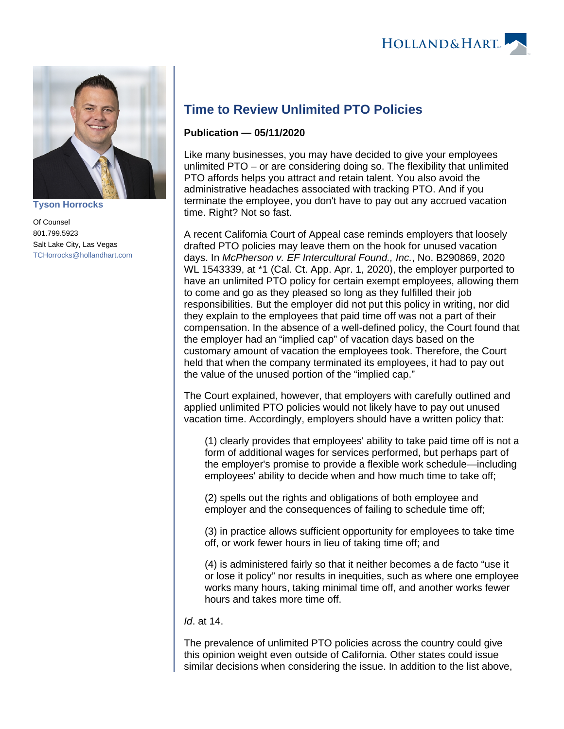

**[Tyson Horrocks](https://www.hollandhart.com/35814)**

Of Counsel 801.799.5923 Salt Lake City, Las Vegas [TCHorrocks@hollandhart.com](mailto:TCHorrocks@hollandhart.com)

## **Time to Review Unlimited PTO Policies**

## **Publication — 05/11/2020**

Like many businesses, you may have decided to give your employees unlimited PTO – or are considering doing so. The flexibility that unlimited PTO affords helps you attract and retain talent. You also avoid the administrative headaches associated with tracking PTO. And if you terminate the employee, you don't have to pay out any accrued vacation time. Right? Not so fast.

A recent California Court of Appeal case reminds employers that loosely drafted PTO policies may leave them on the hook for unused vacation days. In McPherson v. EF Intercultural Found., Inc., No. B290869, 2020 WL 1543339, at \*1 (Cal. Ct. App. Apr. 1, 2020), the employer purported to have an unlimited PTO policy for certain exempt employees, allowing them to come and go as they pleased so long as they fulfilled their job responsibilities. But the employer did not put this policy in writing, nor did they explain to the employees that paid time off was not a part of their compensation. In the absence of a well-defined policy, the Court found that the employer had an "implied cap" of vacation days based on the customary amount of vacation the employees took. Therefore, the Court held that when the company terminated its employees, it had to pay out the value of the unused portion of the "implied cap."

The Court explained, however, that employers with carefully outlined and applied unlimited PTO policies would not likely have to pay out unused vacation time. Accordingly, employers should have a written policy that:

(1) clearly provides that employees' ability to take paid time off is not a form of additional wages for services performed, but perhaps part of the employer's promise to provide a flexible work schedule—including employees' ability to decide when and how much time to take off;

(2) spells out the rights and obligations of both employee and employer and the consequences of failing to schedule time off;

(3) in practice allows sufficient opportunity for employees to take time off, or work fewer hours in lieu of taking time off; and

(4) is administered fairly so that it neither becomes a de facto "use it or lose it policy" nor results in inequities, such as where one employee works many hours, taking minimal time off, and another works fewer hours and takes more time off.

Id. at 14.

The prevalence of unlimited PTO policies across the country could give this opinion weight even outside of California. Other states could issue similar decisions when considering the issue. In addition to the list above,